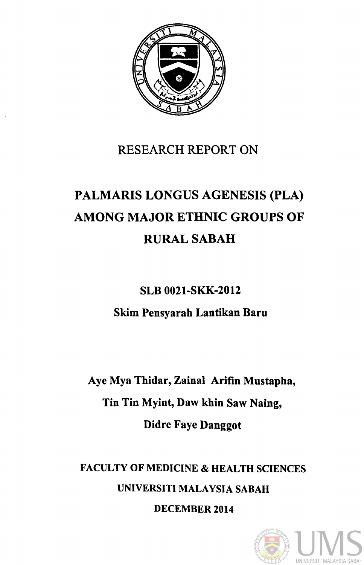

## RESEARCH REPORT ON

# PALMARIS LONGUS AGENESIS (PLA) AMONG MAJOR ETHNIC GROUPS OF RURALSABAH

SLB 0021-SKK-2012

Skim Pensyarah Lantikan Baru

Aye Mya Thidar, Zainal Arifin Mustapha, Tin Tin Myint, Daw khin Saw Naing, Didre Faye Danggot

FACULTY OF MEDICINE & HEALTH SCIENCES UNIVERSITI MALAYSIA SABAH

DECEMBER 2014

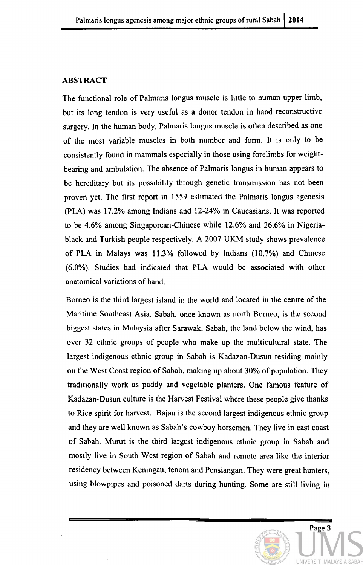#### ABSTRACT

The functional role of Palmaris longus muscle is little to human upper limb, but its long tendon is very useful as a donor tendon in hand reconstructive surgery. In the human body, Palmaris longus muscle is often described as one of the most variable muscles in both number and form. It is only to be consistently found in mammals especially in those using forelimbs for weightbearing and ambulation. The absence of Palmaris longus in human appears to be hereditary but its possibility through genetic transmission has not been proven yet. The first report in 1559 estimated the Palmaris longus agenesis (PLA) was 17.2% among Indians and 12-24% in Caucasians. It was reported to be 4.6% among Singaporean-Chinese while 12.6% and 26.6% in Nigeriablack and Turkish people respectively. A 2007 UKM study shows prevalence of PLA in Malays was 11.3% followed by Indians (10.7%) and Chinese (6.0%). Studies had indicated that PLA would be associated with other anatomical variations of hand.

Borneo is the third largest island in the world and located in the centre of the Maritime Southeast Asia. Sabah, once known as north Borneo, is the second biggest states in Malaysia after Sarawak. Sabah, the land below the wind, has over 32 ethnic groups of people who make up the multicultural state. The largest indigenous ethnic group in Sabah is Kadazan-Dusun residing mainly on the West Coast region of Sabah, making up about 30% of population. They traditionally work as paddy and vegetable planters. One famous feature of Kadazan-Dusun culture is the Harvest Festival where these people give thanks to Rice spirit for harvest. Bajau is the second largest indigenous ethnic group and they are well known as Sabah's cowboy horsemen. They live in east coast of Sabah. Murut is the third largest indigenous ethnic group in Sabah and mostly live in South West region of Sabah and remote area like the interior residency between Keningau, tenom and Pensiangan. They were great hunters, using blowpipes and poisoned darts during hunting. Some are still living in